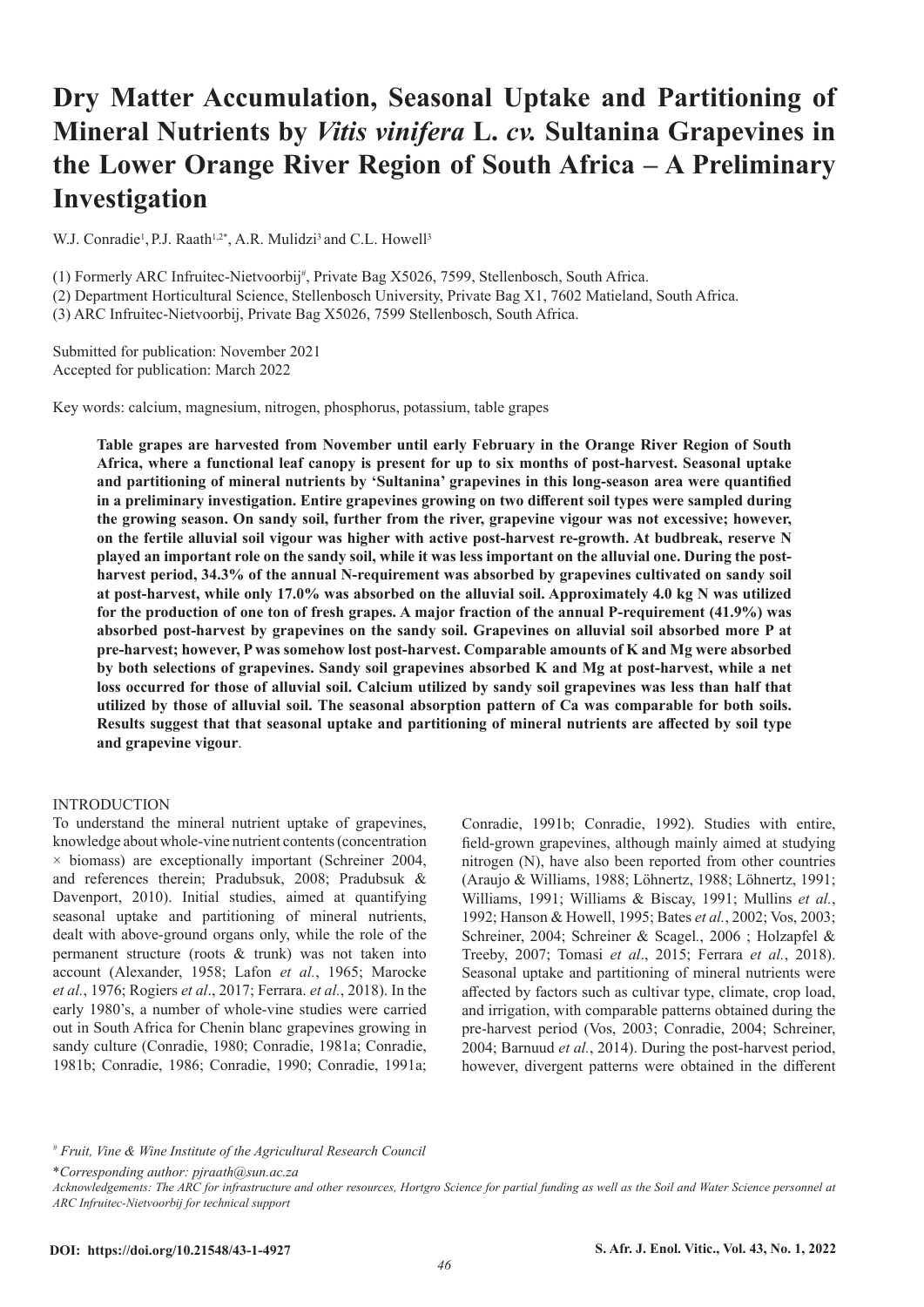# **Dry Matter Accumulation, Seasonal Uptake and Partitioning of Mineral Nutrients by** *Vitis vinifera* **L.** *cv.* **Sultanina Grapevines in the Lower Orange River Region of South Africa – A Preliminary Investigation**

W.J. Conradie<sup>1</sup>, P.J. Raath<sup>1,2\*</sup>, A.R. Mulidzi<sup>3</sup> and C.L. Howell<sup>3</sup>

(1) Formerly ARC Infruitec-Nietvoorbij# , Private Bag X5026, 7599, Stellenbosch, South Africa.

(2) Department Horticultural Science, Stellenbosch University, Private Bag X1, 7602 Matieland, South Africa.

(3) ARC Infruitec-Nietvoorbij, Private Bag X5026, 7599 Stellenbosch, South Africa.

Submitted for publication: November 2021 Accepted for publication: March 2022

Key words: calcium, magnesium, nitrogen, phosphorus, potassium, table grapes

**Table grapes are harvested from November until early February in the Orange River Region of South Africa, where a functional leaf canopy is present for up to six months of post-harvest. Seasonal uptake and partitioning of mineral nutrients by 'Sultanina' grapevines in this long-season area were quantified in a preliminary investigation. Entire grapevines growing on two different soil types were sampled during the growing season. On sandy soil, further from the river, grapevine vigour was not excessive; however, on the fertile alluvial soil vigour was higher with active post-harvest re-growth. At budbreak, reserve N played an important role on the sandy soil, while it was less important on the alluvial one. During the postharvest period, 34.3% of the annual N-requirement was absorbed by grapevines cultivated on sandy soil at post-harvest, while only 17.0% was absorbed on the alluvial soil. Approximately 4.0 kg N was utilized for the production of one ton of fresh grapes. A major fraction of the annual P-requirement (41.9%) was absorbed post-harvest by grapevines on the sandy soil. Grapevines on alluvial soil absorbed more P at pre-harvest; however, P was somehow lost post-harvest. Comparable amounts of K and Mg were absorbed by both selections of grapevines. Sandy soil grapevines absorbed K and Mg at post-harvest, while a net loss occurred for those of alluvial soil. Calcium utilized by sandy soil grapevines was less than half that utilized by those of alluvial soil. The seasonal absorption pattern of Ca was comparable for both soils. Results suggest that that seasonal uptake and partitioning of mineral nutrients are affected by soil type and grapevine vigour**.

## INTRODUCTION

To understand the mineral nutrient uptake of grapevines, knowledge about whole-vine nutrient contents (concentration  $\times$  biomass) are exceptionally important (Schreiner 2004, and references therein; Pradubsuk, 2008; Pradubsuk & Davenport, 2010). Initial studies, aimed at quantifying seasonal uptake and partitioning of mineral nutrients, dealt with above-ground organs only, while the role of the permanent structure (roots & trunk) was not taken into account (Alexander, 1958; Lafon *et al.*, 1965; Marocke *et al.*, 1976; Rogiers *et al*., 2017; Ferrara. *et al.*, 2018). In the early 1980's, a number of whole-vine studies were carried out in South Africa for Chenin blanc grapevines growing in sandy culture (Conradie, 1980; Conradie, 1981a; Conradie, 1981b; Conradie, 1986; Conradie, 1990; Conradie, 1991a; Conradie, 1991b; Conradie, 1992). Studies with entire, field-grown grapevines, although mainly aimed at studying nitrogen (N), have also been reported from other countries (Araujo & Williams, 1988; Löhnertz, 1988; Löhnertz, 1991; Williams, 1991; Williams & Biscay, 1991; Mullins *et al.*, 1992; Hanson & Howell, 1995; Bates *et al.*, 2002; Vos, 2003; Schreiner, 2004; Schreiner & Scagel*.*, 2006 ; Holzapfel & Treeby, 2007; Tomasi *et al*., 2015; Ferrara *et al.*, 2018). Seasonal uptake and partitioning of mineral nutrients were affected by factors such as cultivar type, climate, crop load, and irrigation, with comparable patterns obtained during the pre-harvest period (Vos, 2003; Conradie, 2004; Schreiner, 2004; Barnuud *et al.*, 2014). During the post-harvest period, however, divergent patterns were obtained in the different

\**Corresponding author: pjraath@sun.ac.za*

<sup>#</sup> *Fruit, Vine & Wine Institute of the Agricultural Research Council*

*Acknowledgements: The ARC for infrastructure and other resources, Hortgro Science for partial funding as well as the Soil and Water Science personnel at ARC Infruitec-Nietvoorbij for technical support*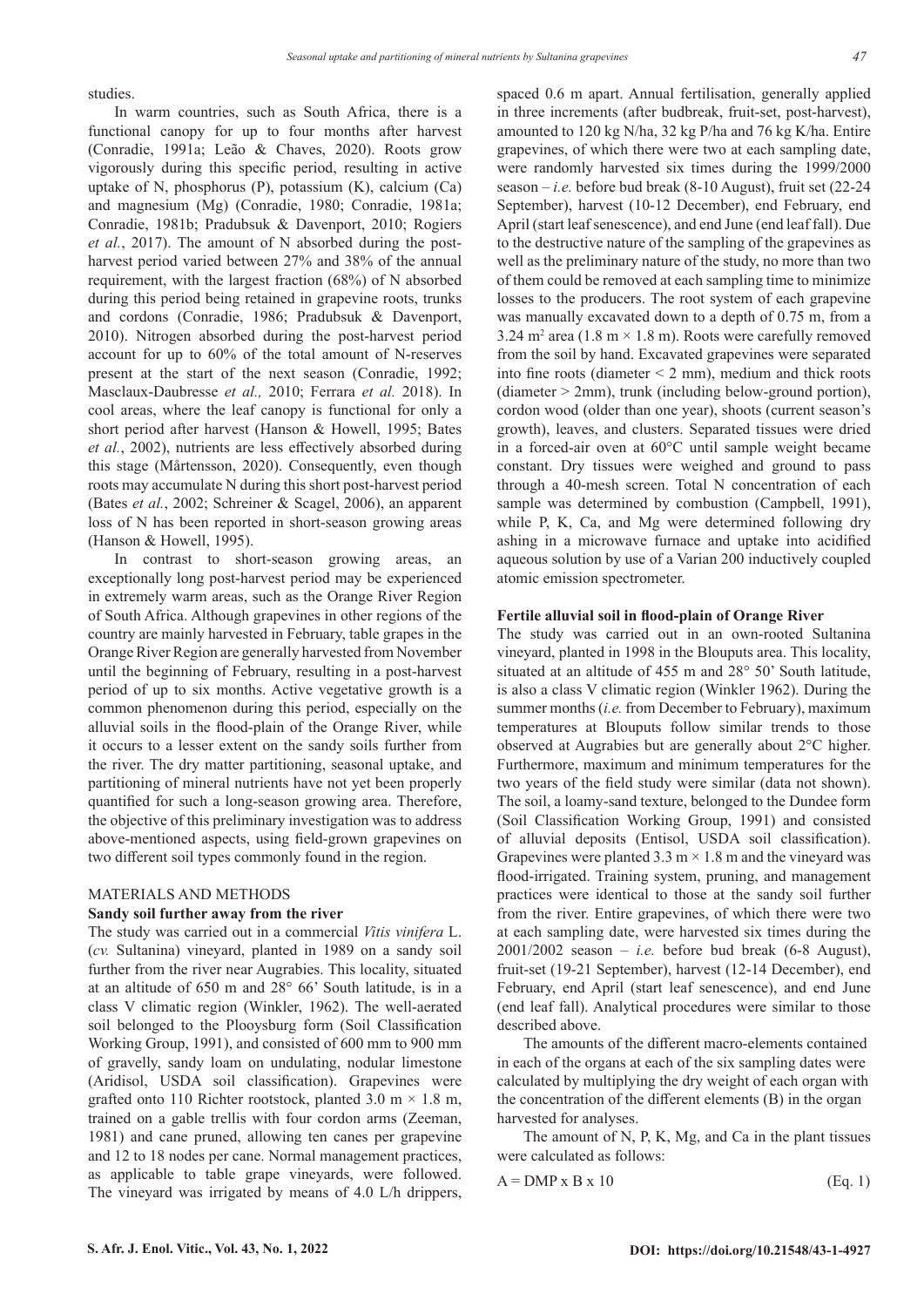studies.

In warm countries, such as South Africa, there is a functional canopy for up to four months after harvest (Conradie, 1991a; Leão & Chaves, 2020). Roots grow vigorously during this specific period, resulting in active uptake of N, phosphorus (P), potassium (K), calcium (Ca) and magnesium (Mg) (Conradie, 1980; Conradie, 1981a; Conradie, 1981b; Pradubsuk & Davenport, 2010; Rogiers *et al.*, 2017). The amount of N absorbed during the postharvest period varied between 27% and 38% of the annual requirement, with the largest fraction (68%) of N absorbed during this period being retained in grapevine roots, trunks and cordons (Conradie, 1986; Pradubsuk & Davenport, 2010). Nitrogen absorbed during the post-harvest period account for up to 60% of the total amount of N-reserves present at the start of the next season (Conradie, 1992; Masclaux-Daubresse *et al.,* 2010; Ferrara *et al.* 2018). In cool areas, where the leaf canopy is functional for only a short period after harvest (Hanson & Howell, 1995; Bates *et al.*, 2002), nutrients are less effectively absorbed during this stage (Mårtensson, 2020). Consequently, even though roots may accumulate N during this short post-harvest period (Bates *et al.*, 2002; Schreiner & Scagel, 2006), an apparent loss of N has been reported in short-season growing areas (Hanson & Howell, 1995).

In contrast to short-season growing areas, an exceptionally long post-harvest period may be experienced in extremely warm areas, such as the Orange River Region of South Africa. Although grapevines in other regions of the country are mainly harvested in February, table grapes in the Orange River Region are generally harvested from November until the beginning of February, resulting in a post-harvest period of up to six months. Active vegetative growth is a common phenomenon during this period, especially on the alluvial soils in the flood-plain of the Orange River, while it occurs to a lesser extent on the sandy soils further from the river. The dry matter partitioning, seasonal uptake, and partitioning of mineral nutrients have not yet been properly quantified for such a long-season growing area. Therefore, the objective of this preliminary investigation was to address above-mentioned aspects, using field-grown grapevines on two different soil types commonly found in the region.

## MATERIALS AND METHODS

#### **Sandy soil further away from the river**

The study was carried out in a commercial *Vitis vinifera* L. (*cv.* Sultanina) vineyard, planted in 1989 on a sandy soil further from the river near Augrabies. This locality, situated at an altitude of 650 m and 28° 66' South latitude, is in a class V climatic region (Winkler, 1962). The well-aerated soil belonged to the Plooysburg form (Soil Classification Working Group, 1991), and consisted of 600 mm to 900 mm of gravelly, sandy loam on undulating, nodular limestone (Aridisol, USDA soil classification). Grapevines were grafted onto 110 Richter rootstock, planted 3.0 m  $\times$  1.8 m, trained on a gable trellis with four cordon arms (Zeeman, 1981) and cane pruned, allowing ten canes per grapevine and 12 to 18 nodes per cane. Normal management practices, as applicable to table grape vineyards, were followed. The vineyard was irrigated by means of 4.0 L/h drippers,

spaced 0.6 m apart. Annual fertilisation, generally applied in three increments (after budbreak, fruit-set, post-harvest), amounted to 120 kg N/ha, 32 kg P/ha and 76 kg K/ha. Entire grapevines, of which there were two at each sampling date, were randomly harvested six times during the 1999/2000 season – *i.e.* before bud break  $(8-10 \text{ August})$ , fruit set  $(22-24$ September), harvest (10-12 December), end February, end April (start leaf senescence), and end June (end leaf fall). Due to the destructive nature of the sampling of the grapevines as well as the preliminary nature of the study, no more than two of them could be removed at each sampling time to minimize losses to the producers. The root system of each grapevine was manually excavated down to a depth of 0.75 m, from a 3.24 m<sup>2</sup> area (1.8 m  $\times$  1.8 m). Roots were carefully removed from the soil by hand. Excavated grapevines were separated into fine roots (diameter  $\leq$  2 mm), medium and thick roots (diameter > 2mm), trunk (including below-ground portion), cordon wood (older than one year), shoots (current season's growth), leaves, and clusters. Separated tissues were dried in a forced-air oven at 60°C until sample weight became constant. Dry tissues were weighed and ground to pass through a 40-mesh screen. Total N concentration of each sample was determined by combustion (Campbell, 1991), while P, K, Ca, and Mg were determined following dry ashing in a microwave furnace and uptake into acidified aqueous solution by use of a Varian 200 inductively coupled atomic emission spectrometer.

## **Fertile alluvial soil in flood-plain of Orange River**

The study was carried out in an own-rooted Sultanina vineyard, planted in 1998 in the Blouputs area. This locality, situated at an altitude of 455 m and 28° 50' South latitude, is also a class V climatic region (Winkler 1962). During the summer months (*i.e.* from December to February), maximum temperatures at Blouputs follow similar trends to those observed at Augrabies but are generally about 2°C higher. Furthermore, maximum and minimum temperatures for the two years of the field study were similar (data not shown). The soil, a loamy-sand texture, belonged to the Dundee form (Soil Classification Working Group, 1991) and consisted of alluvial deposits (Entisol, USDA soil classification). Grapevines were planted  $3.3 \text{ m} \times 1.8 \text{ m}$  and the vineyard was flood-irrigated. Training system, pruning, and management practices were identical to those at the sandy soil further from the river. Entire grapevines, of which there were two at each sampling date, were harvested six times during the  $2001/2002$  season – *i.e.* before bud break (6-8 August), fruit-set (19-21 September), harvest (12-14 December), end February, end April (start leaf senescence), and end June (end leaf fall). Analytical procedures were similar to those described above.

The amounts of the different macro-elements contained in each of the organs at each of the six sampling dates were calculated by multiplying the dry weight of each organ with the concentration of the different elements (B) in the organ harvested for analyses.

The amount of N, P, K, Mg, and Ca in the plant tissues were calculated as follows:

$$
A = DMP \times B \times 10 \tag{Eq. 1}
$$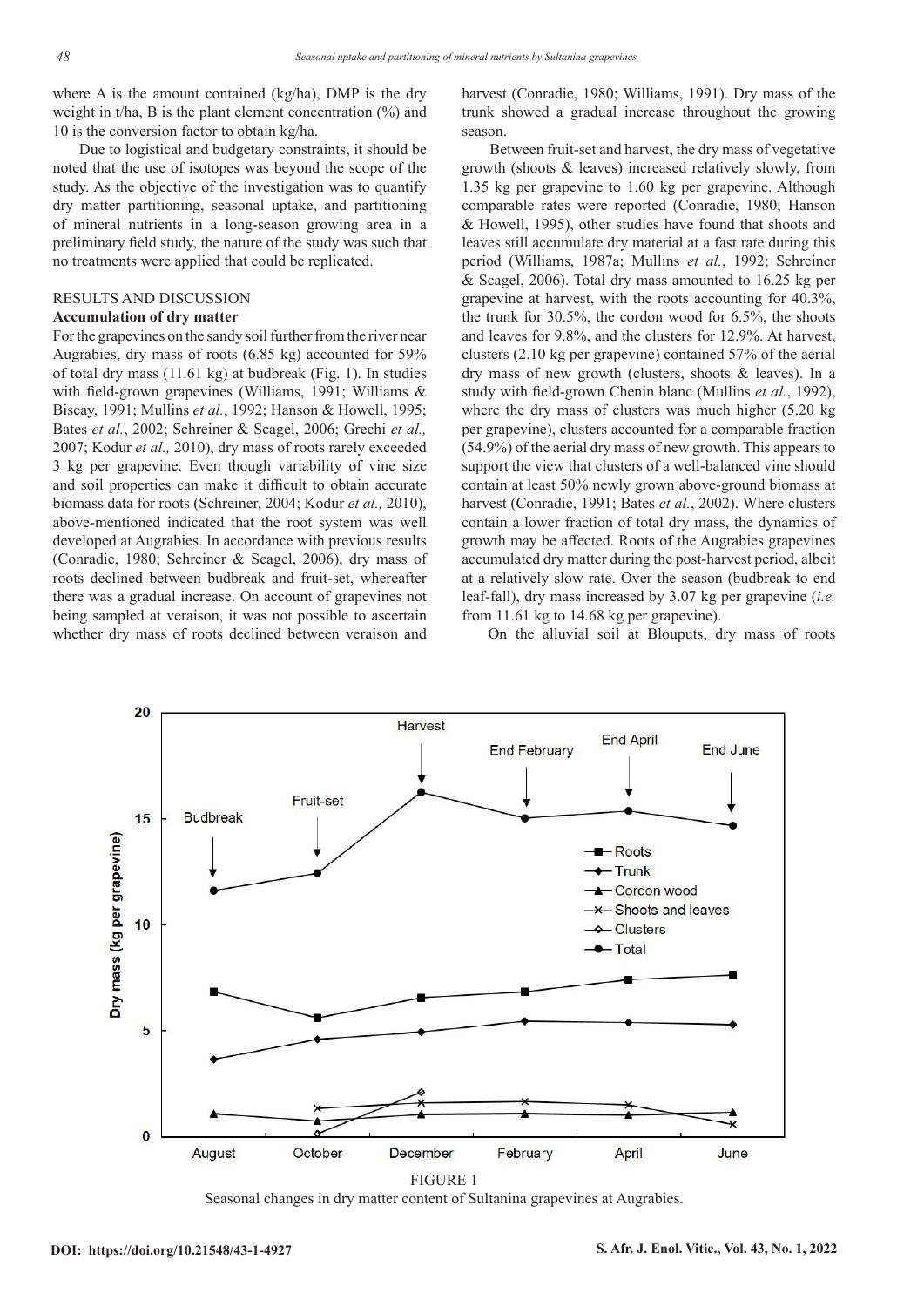where A is the amount contained (kg/ha), DMP is the dry weight in t/ha, B is the plant element concentration  $(\%)$  and 10 is the conversion factor to obtain kg/ha.

Due to logistical and budgetary constraints, it should be noted that the use of isotopes was beyond the scope of the study. As the objective of the investigation was to quantify dry matter partitioning, seasonal uptake, and partitioning of mineral nutrients in a long-season growing area in a preliminary field study, the nature of the study was such that no treatments were applied that could be replicated.

## RESULTS AND DISCUSSION

## **Accumulation of dry matter**

For the grapevines on the sandy soil further from the river near Augrabies, dry mass of roots (6.85 kg) accounted for 59% of total dry mass (11.61 kg) at budbreak (Fig. 1). In studies with field-grown grapevines (Williams, 1991; Williams & Biscay, 1991; Mullins *et al.*, 1992; Hanson & Howell, 1995; Bates *et al.*, 2002; Schreiner & Scagel, 2006; Grechi *et al.,*  2007; Kodur *et al.,* 2010), dry mass of roots rarely exceeded 3 kg per grapevine. Even though variability of vine size and soil properties can make it difficult to obtain accurate biomass data for roots (Schreiner, 2004; Kodur *et al.,* 2010), above-mentioned indicated that the root system was well developed at Augrabies. In accordance with previous results (Conradie, 1980; Schreiner & Scagel, 2006), dry mass of roots declined between budbreak and fruit-set, whereafter there was a gradual increase. On account of grapevines not being sampled at veraison, it was not possible to ascertain whether dry mass of roots declined between veraison and harvest (Conradie, 1980; Williams, 1991). Dry mass of the trunk showed a gradual increase throughout the growing season.

Between fruit-set and harvest, the dry mass of vegetative growth (shoots & leaves) increased relatively slowly, from 1.35 kg per grapevine to 1.60 kg per grapevine. Although comparable rates were reported (Conradie, 1980; Hanson & Howell, 1995), other studies have found that shoots and leaves still accumulate dry material at a fast rate during this period (Williams, 1987a; Mullins *et al.*, 1992; Schreiner & Scagel, 2006). Total dry mass amounted to 16.25 kg per grapevine at harvest, with the roots accounting for 40.3%, the trunk for 30.5%, the cordon wood for 6.5%, the shoots and leaves for 9.8%, and the clusters for 12.9%. At harvest, clusters (2.10 kg per grapevine) contained 57% of the aerial dry mass of new growth (clusters, shoots & leaves). In a study with field-grown Chenin blanc (Mullins *et al.*, 1992), where the dry mass of clusters was much higher (5.20 kg per grapevine), clusters accounted for a comparable fraction (54.9%) of the aerial dry mass of new growth. This appears to support the view that clusters of a well-balanced vine should contain at least 50% newly grown above-ground biomass at harvest (Conradie, 1991; Bates *et al.*, 2002). Where clusters contain a lower fraction of total dry mass, the dynamics of growth may be affected. Roots of the Augrabies grapevines accumulated dry matter during the post-harvest period, albeit at a relatively slow rate. Over the season (budbreak to end leaf-fall), dry mass increased by 3.07 kg per grapevine (*i.e.* from 11.61 kg to 14.68 kg per grapevine).

On the alluvial soil at Blouputs, dry mass of roots



Seasonal changes in dry matter content of Sultanina grapevines at Augrabies.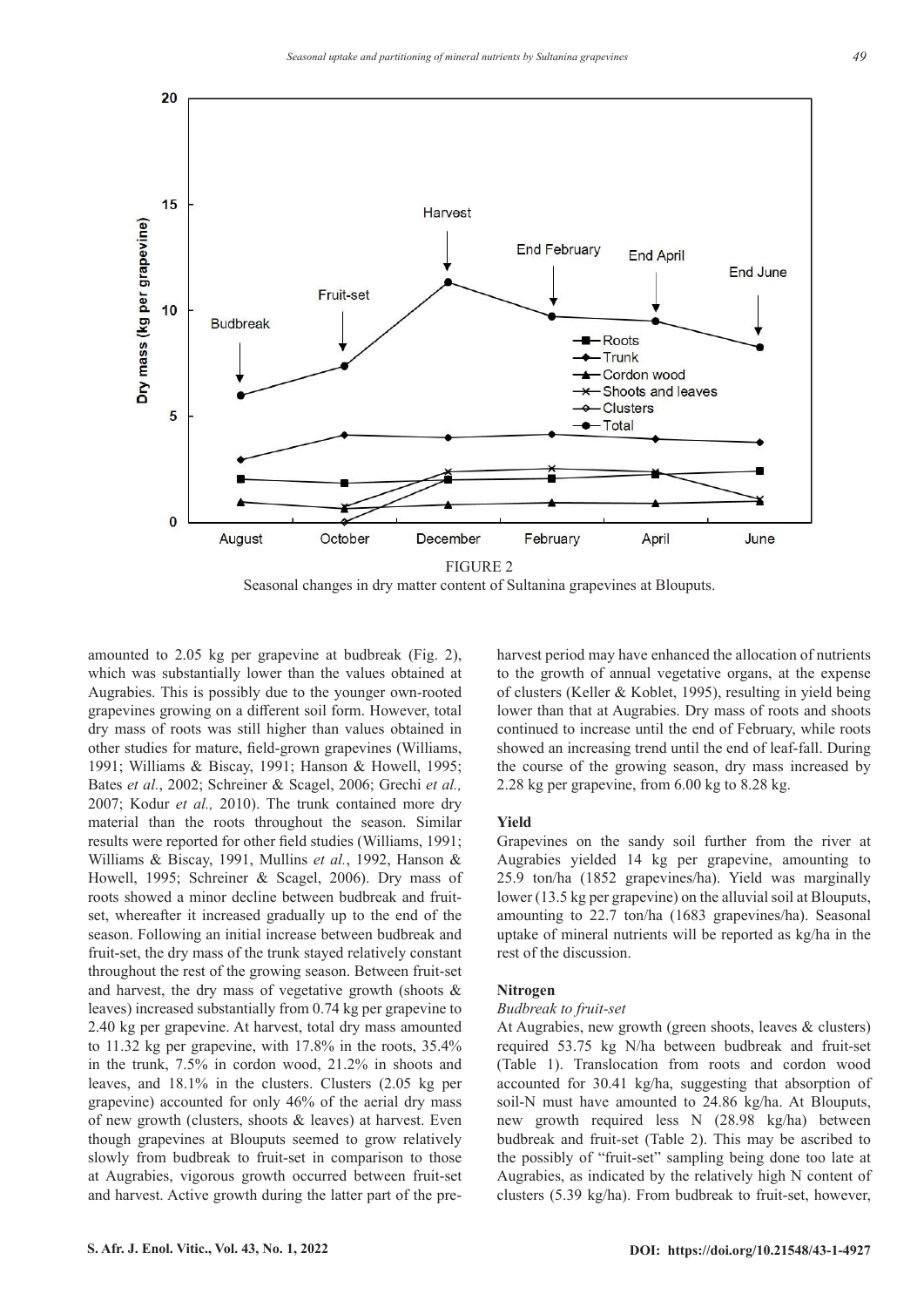

Seasonal changes in dry matter content of Sultanina grapevines at Blouputs.

amounted to 2.05 kg per grapevine at budbreak (Fig. 2), which was substantially lower than the values obtained at Augrabies. This is possibly due to the younger own-rooted grapevines growing on a different soil form. However, total dry mass of roots was still higher than values obtained in other studies for mature, field-grown grapevines (Williams, 1991; Williams & Biscay, 1991; Hanson & Howell, 1995; Bates *et al.*, 2002; Schreiner & Scagel, 2006; Grechi *et al.,*  2007; Kodur *et al.,* 2010). The trunk contained more dry material than the roots throughout the season. Similar results were reported for other field studies (Williams, 1991; Williams & Biscay, 1991, Mullins *et al.*, 1992, Hanson & Howell, 1995; Schreiner & Scagel, 2006). Dry mass of roots showed a minor decline between budbreak and fruitset, whereafter it increased gradually up to the end of the season. Following an initial increase between budbreak and fruit-set, the dry mass of the trunk stayed relatively constant throughout the rest of the growing season. Between fruit-set and harvest, the dry mass of vegetative growth (shoots & leaves) increased substantially from 0.74 kg per grapevine to 2.40 kg per grapevine. At harvest, total dry mass amounted to 11.32 kg per grapevine, with 17.8% in the roots, 35.4% in the trunk, 7.5% in cordon wood, 21.2% in shoots and leaves, and 18.1% in the clusters. Clusters (2.05 kg per grapevine) accounted for only 46% of the aerial dry mass of new growth (clusters, shoots & leaves) at harvest. Even though grapevines at Blouputs seemed to grow relatively slowly from budbreak to fruit-set in comparison to those at Augrabies, vigorous growth occurred between fruit-set and harvest. Active growth during the latter part of the pre-

to the growth of annual vegetative organs, at the expense of clusters (Keller & Koblet, 1995), resulting in yield being lower than that at Augrabies. Dry mass of roots and shoots continued to increase until the end of February, while roots showed an increasing trend until the end of leaf-fall. During the course of the growing season, dry mass increased by 2.28 kg per grapevine, from 6.00 kg to 8.28 kg.

harvest period may have enhanced the allocation of nutrients

## **Yield**

Grapevines on the sandy soil further from the river at Augrabies yielded 14 kg per grapevine, amounting to 25.9 ton/ha (1852 grapevines/ha). Yield was marginally lower (13.5 kg per grapevine) on the alluvial soil at Blouputs, amounting to 22.7 ton/ha (1683 grapevines/ha). Seasonal uptake of mineral nutrients will be reported as kg/ha in the rest of the discussion.

## **Nitrogen**

### *Budbreak to fruit-set*

At Augrabies, new growth (green shoots, leaves & clusters) required 53.75 kg N/ha between budbreak and fruit-set (Table 1). Translocation from roots and cordon wood accounted for 30.41 kg/ha, suggesting that absorption of soil-N must have amounted to 24.86 kg/ha. At Blouputs, new growth required less N (28.98 kg/ha) between budbreak and fruit-set (Table 2). This may be ascribed to the possibly of "fruit-set" sampling being done too late at Augrabies, as indicated by the relatively high N content of clusters (5.39 kg/ha). From budbreak to fruit-set, however,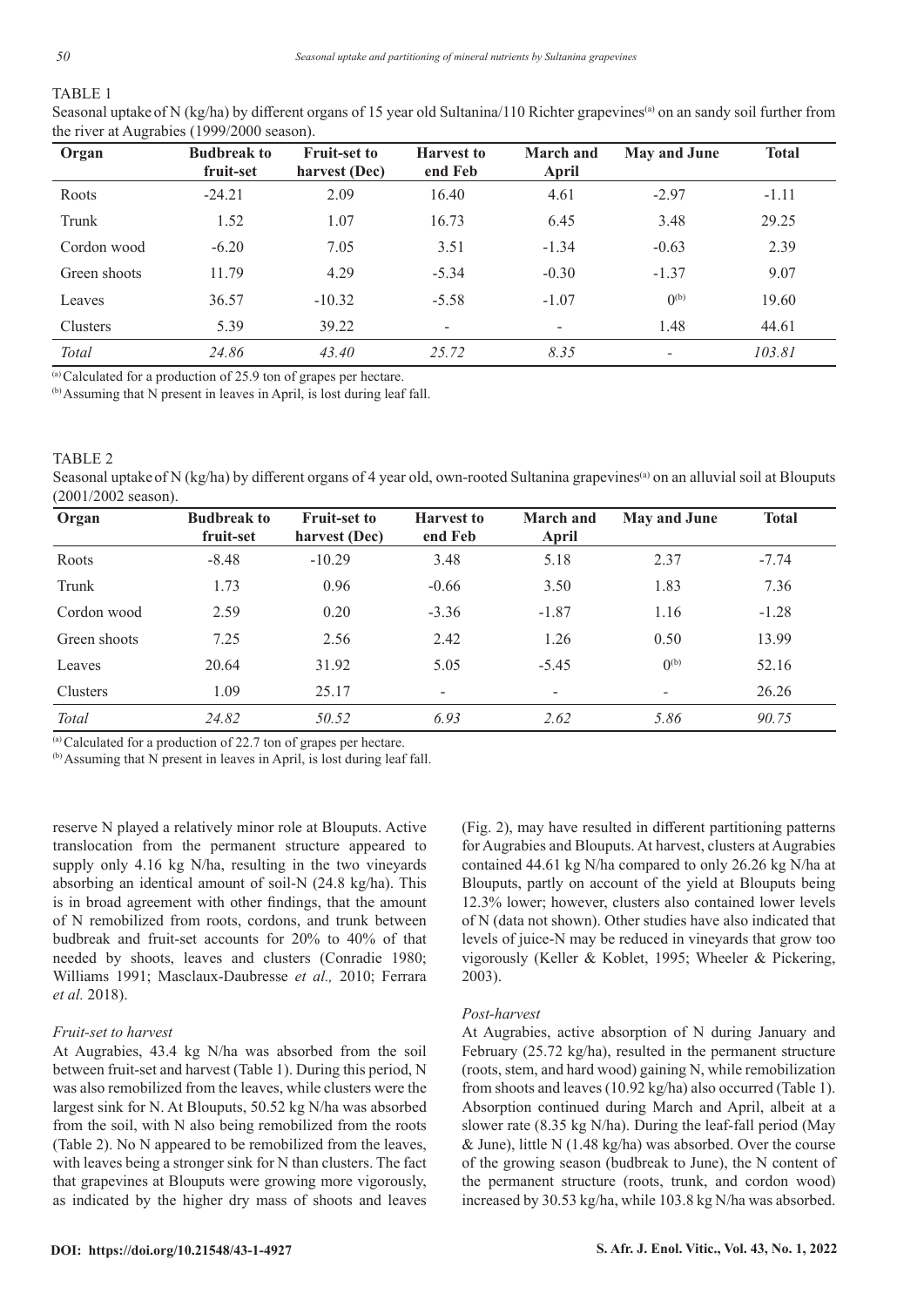## TABLE 1

Seasonal uptake of N (kg/ha) by different organs of 15 year old Sultanina/110 Richter grapevines<sup>(a)</sup> on an sandy soil further from the river at Augrabies (1999/2000 season).

| Organ        | <b>Budbreak to</b><br>fruit-set | <b>Fruit-set to</b><br>harvest (Dec) | <b>Harvest</b> to<br>end Feb | <b>March</b> and<br>April | <b>May and June</b> | <b>Total</b> |
|--------------|---------------------------------|--------------------------------------|------------------------------|---------------------------|---------------------|--------------|
| Roots        | $-24.21$                        | 2.09                                 | 16.40                        | 4.61                      | $-2.97$             | $-1.11$      |
| Trunk        | 1.52                            | 1.07                                 | 16.73                        | 6.45                      | 3.48                | 29.25        |
| Cordon wood  | $-6.20$                         | 7.05                                 | 3.51                         | $-1.34$                   | $-0.63$             | 2.39         |
| Green shoots | 11.79                           | 4.29                                 | $-5.34$                      | $-0.30$                   | $-1.37$             | 9.07         |
| Leaves       | 36.57                           | $-10.32$                             | $-5.58$                      | $-1.07$                   | $(0^{(b)}$          | 19.60        |
| Clusters     | 5.39                            | 39.22                                | ٠                            | $\overline{\phantom{a}}$  | 1.48                | 44.61        |
| Total        | 24.86                           | 43.40                                | 25.72                        | 8.35                      |                     | 103.81       |

(a) Calculated for a production of 25.9 ton of grapes per hectare.

(b) Assuming that N present in leaves in April, is lost during leaf fall.

#### TABLE 2

Seasonal uptake of N (kg/ha) by different organs of 4 year old, own-rooted Sultanina grapevines<sup>(a)</sup> on an alluvial soil at Blouputs (2001/2002 season).

| Organ        | <b>Budbreak to</b><br>fruit-set | <b>Fruit-set to</b><br>harvest (Dec) | <b>Harvest to</b><br>end Feb | <b>March and</b><br>April | <b>May and June</b>      | <b>Total</b> |
|--------------|---------------------------------|--------------------------------------|------------------------------|---------------------------|--------------------------|--------------|
| Roots        | $-8.48$                         | $-10.29$                             | 3.48                         | 5.18                      | 2.37                     | $-7.74$      |
| Trunk        | 1.73                            | 0.96                                 | $-0.66$                      | 3.50                      | 1.83                     | 7.36         |
| Cordon wood  | 2.59                            | 0.20                                 | $-3.36$                      | $-1.87$                   | 1.16                     | $-1.28$      |
| Green shoots | 7.25                            | 2.56                                 | 2.42                         | 1.26                      | 0.50                     | 13.99        |
| Leaves       | 20.64                           | 31.92                                | 5.05                         | $-5.45$                   | $0^{(b)}$                | 52.16        |
| Clusters     | 1.09                            | 25.17                                | $\overline{\phantom{a}}$     | ۰.                        | $\overline{\phantom{a}}$ | 26.26        |
| <b>Total</b> | 24.82                           | 50.52                                | 6.93                         | 2.62                      | 5.86                     | 90.75        |

(a) Calculated for a production of 22.7 ton of grapes per hectare.

(b) Assuming that N present in leaves in April, is lost during leaf fall.

reserve N played a relatively minor role at Blouputs. Active translocation from the permanent structure appeared to supply only 4.16 kg N/ha, resulting in the two vineyards absorbing an identical amount of soil-N (24.8 kg/ha). This is in broad agreement with other findings, that the amount of N remobilized from roots, cordons, and trunk between budbreak and fruit-set accounts for 20% to 40% of that needed by shoots, leaves and clusters (Conradie 1980; Williams 1991; Masclaux-Daubresse *et al.,* 2010; Ferrara *et al.* 2018).

## *Fruit-set to harvest*

At Augrabies, 43.4 kg N/ha was absorbed from the soil between fruit-set and harvest (Table 1). During this period, N was also remobilized from the leaves, while clusters were the largest sink for N. At Blouputs, 50.52 kg N/ha was absorbed from the soil, with N also being remobilized from the roots (Table 2). No N appeared to be remobilized from the leaves, with leaves being a stronger sink for N than clusters. The fact that grapevines at Blouputs were growing more vigorously, as indicated by the higher dry mass of shoots and leaves

(Fig. 2), may have resulted in different partitioning patterns for Augrabies and Blouputs. At harvest, clusters at Augrabies contained 44.61 kg N/ha compared to only 26.26 kg N/ha at Blouputs, partly on account of the yield at Blouputs being 12.3% lower; however, clusters also contained lower levels of N (data not shown). Other studies have also indicated that levels of juice-N may be reduced in vineyards that grow too vigorously (Keller & Koblet, 1995; Wheeler & Pickering, 2003).

#### *Post-harvest*

At Augrabies, active absorption of N during January and February (25.72 kg/ha), resulted in the permanent structure (roots, stem, and hard wood) gaining N, while remobilization from shoots and leaves (10.92 kg/ha) also occurred (Table 1). Absorption continued during March and April, albeit at a slower rate (8.35 kg N/ha). During the leaf-fall period (May & June), little N (1.48 kg/ha) was absorbed. Over the course of the growing season (budbreak to June), the N content of the permanent structure (roots, trunk, and cordon wood) increased by 30.53 kg/ha, while 103.8 kg N/ha was absorbed.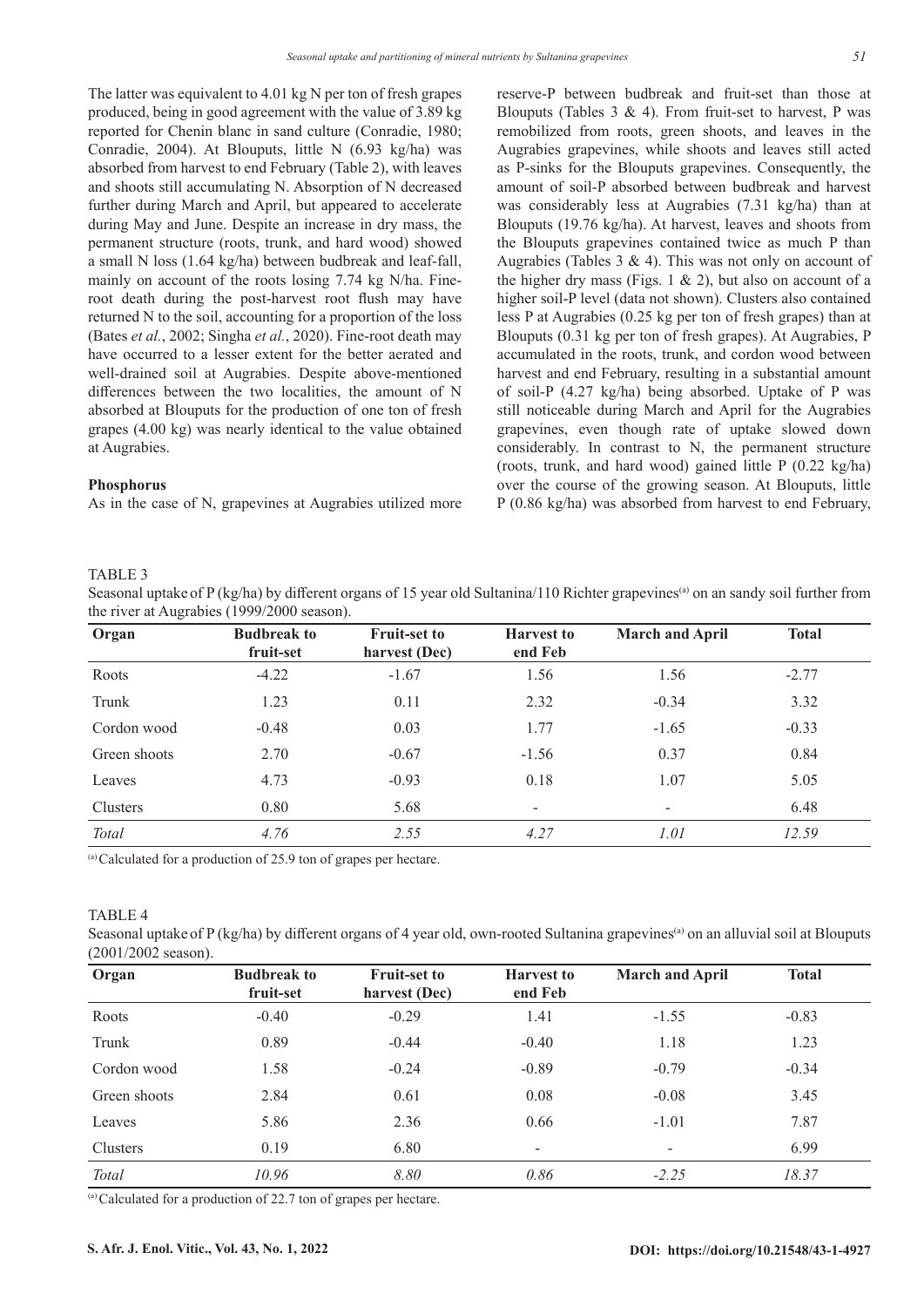The latter was equivalent to 4.01 kg N per ton of fresh grapes produced, being in good agreement with the value of 3.89 kg reported for Chenin blanc in sand culture (Conradie, 1980; Conradie, 2004). At Blouputs, little N (6.93 kg/ha) was absorbed from harvest to end February (Table 2), with leaves and shoots still accumulating N. Absorption of N decreased further during March and April, but appeared to accelerate during May and June. Despite an increase in dry mass, the permanent structure (roots, trunk, and hard wood) showed a small N loss (1.64 kg/ha) between budbreak and leaf-fall, mainly on account of the roots losing 7.74 kg N/ha. Fineroot death during the post-harvest root flush may have returned N to the soil, accounting for a proportion of the loss (Bates *et al.*, 2002; Singha *et al.*, 2020). Fine-root death may have occurred to a lesser extent for the better aerated and well-drained soil at Augrabies. Despite above-mentioned differences between the two localities, the amount of N absorbed at Blouputs for the production of one ton of fresh grapes (4.00 kg) was nearly identical to the value obtained at Augrabies.

## **Phosphorus**

As in the case of N, grapevines at Augrabies utilized more

reserve-P between budbreak and fruit-set than those at Blouputs (Tables  $3 \& 4$ ). From fruit-set to harvest, P was remobilized from roots, green shoots, and leaves in the Augrabies grapevines, while shoots and leaves still acted as P-sinks for the Blouputs grapevines. Consequently, the amount of soil-P absorbed between budbreak and harvest was considerably less at Augrabies (7.31 kg/ha) than at Blouputs (19.76 kg/ha). At harvest, leaves and shoots from the Blouputs grapevines contained twice as much P than Augrabies (Tables  $3 \& 4$ ). This was not only on account of the higher dry mass (Figs. 1  $\&$  2), but also on account of a higher soil-P level (data not shown). Clusters also contained less P at Augrabies (0.25 kg per ton of fresh grapes) than at Blouputs (0.31 kg per ton of fresh grapes). At Augrabies, P accumulated in the roots, trunk, and cordon wood between harvest and end February, resulting in a substantial amount of soil-P (4.27 kg/ha) being absorbed. Uptake of P was still noticeable during March and April for the Augrabies grapevines, even though rate of uptake slowed down considerably. In contrast to N, the permanent structure (roots, trunk, and hard wood) gained little P (0.22 kg/ha) over the course of the growing season. At Blouputs, little P (0.86 kg/ha) was absorbed from harvest to end February,

## TABLE 3

Seasonal uptake of P (kg/ha) by different organs of 15 year old Sultanina/110 Richter grapevines<sup>(a)</sup> on an sandy soil further from the river at Augrabies (1999/2000 season).

| Organ        | <b>Budbreak to</b><br>fruit-set | <b>Fruit-set to</b><br>harvest (Dec) | <b>Harvest to</b><br>end Feb | <b>March and April</b>   | <b>Total</b> |
|--------------|---------------------------------|--------------------------------------|------------------------------|--------------------------|--------------|
| Roots        | $-4.22$                         | $-1.67$                              | 1.56                         | 1.56                     | $-2.77$      |
| Trunk        | 1.23                            | 0.11                                 | 2.32                         | $-0.34$                  | 3.32         |
| Cordon wood  | $-0.48$                         | 0.03                                 | 1.77                         | $-1.65$                  | $-0.33$      |
| Green shoots | 2.70                            | $-0.67$                              | $-1.56$                      | 0.37                     | 0.84         |
| Leaves       | 4.73                            | $-0.93$                              | 0.18                         | 1.07                     | 5.05         |
| Clusters     | 0.80                            | 5.68                                 | $\overline{a}$               | $\overline{\phantom{a}}$ | 6.48         |
| <b>Total</b> | 4.76                            | 2.55                                 | 4.27                         | 1.01                     | 12.59        |

(a) Calculated for a production of 25.9 ton of grapes per hectare.

## TABLE 4

Seasonal uptake of P (kg/ha) by different organs of 4 year old, own-rooted Sultanina grapevines<sup>(a)</sup> on an alluvial soil at Blouputs (2001/2002 season).

| Organ        | <b>Budbreak to</b><br>fruit-set | <b>Fruit-set to</b><br>harvest (Dec) | <b>Harvest to</b><br>end Feb | <b>March and April</b> | <b>Total</b> |
|--------------|---------------------------------|--------------------------------------|------------------------------|------------------------|--------------|
| Roots        | $-0.40$                         | $-0.29$                              | 1.41                         | $-1.55$                | $-0.83$      |
| Trunk        | 0.89                            | $-0.44$                              | $-0.40$                      | 1.18                   | 1.23         |
| Cordon wood  | 1.58                            | $-0.24$                              | $-0.89$                      | $-0.79$                | $-0.34$      |
| Green shoots | 2.84                            | 0.61                                 | 0.08                         | $-0.08$                | 3.45         |
| Leaves       | 5.86                            | 2.36                                 | 0.66                         | $-1.01$                | 7.87         |
| Clusters     | 0.19                            | 6.80                                 | ۰                            | Ξ.                     | 6.99         |
| <b>Total</b> | 10.96                           | 8.80                                 | 0.86                         | $-2.25$                | 18.37        |

 $\alpha$ <sup>(a)</sup> Calculated for a production of 22.7 ton of grapes per hectare.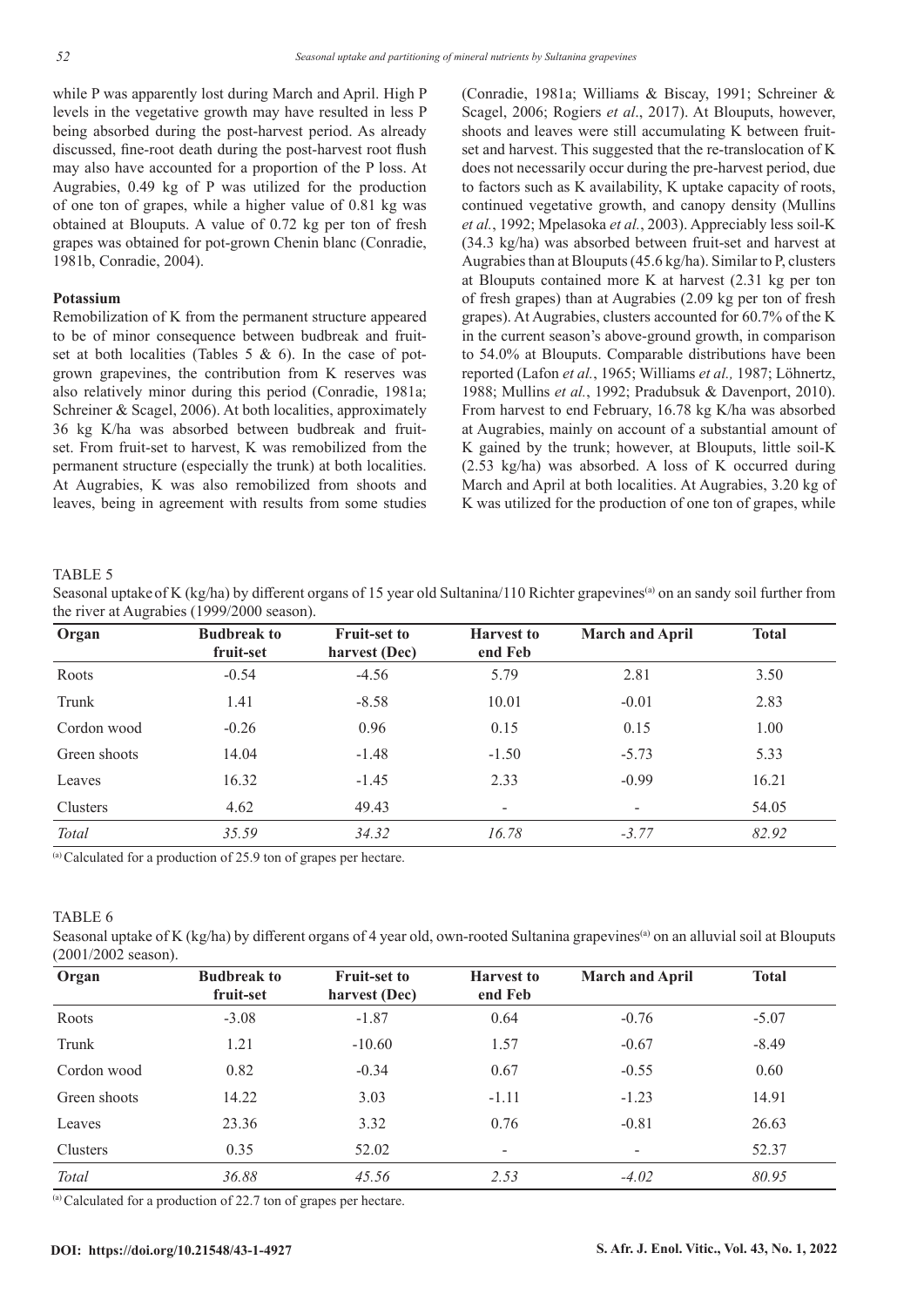while P was apparently lost during March and April. High P levels in the vegetative growth may have resulted in less P being absorbed during the post-harvest period. As already discussed, fine-root death during the post-harvest root flush may also have accounted for a proportion of the P loss. At Augrabies, 0.49 kg of P was utilized for the production of one ton of grapes, while a higher value of 0.81 kg was obtained at Blouputs. A value of 0.72 kg per ton of fresh grapes was obtained for pot-grown Chenin blanc (Conradie, 1981b, Conradie, 2004).

## **Potassium**

Remobilization of K from the permanent structure appeared to be of minor consequence between budbreak and fruitset at both localities (Tables 5 & 6). In the case of potgrown grapevines, the contribution from K reserves was also relatively minor during this period (Conradie, 1981a; Schreiner & Scagel, 2006). At both localities, approximately 36 kg K/ha was absorbed between budbreak and fruitset. From fruit-set to harvest, K was remobilized from the permanent structure (especially the trunk) at both localities. At Augrabies, K was also remobilized from shoots and leaves, being in agreement with results from some studies

(Conradie, 1981a; Williams & Biscay, 1991; Schreiner & Scagel, 2006; Rogiers *et al*., 2017). At Blouputs, however, shoots and leaves were still accumulating K between fruitset and harvest. This suggested that the re-translocation of K does not necessarily occur during the pre-harvest period, due to factors such as K availability, K uptake capacity of roots, continued vegetative growth, and canopy density (Mullins *et al.*, 1992; Mpelasoka *et al.*, 2003). Appreciably less soil-K (34.3 kg/ha) was absorbed between fruit-set and harvest at Augrabies than at Blouputs (45.6 kg/ha). Similar to P, clusters at Blouputs contained more K at harvest (2.31 kg per ton of fresh grapes) than at Augrabies (2.09 kg per ton of fresh grapes). At Augrabies, clusters accounted for 60.7% of the K in the current season's above-ground growth, in comparison to 54.0% at Blouputs. Comparable distributions have been reported (Lafon *et al.*, 1965; Williams *et al.,* 1987; Löhnertz, 1988; Mullins *et al.*, 1992; Pradubsuk & Davenport, 2010). From harvest to end February, 16.78 kg K/ha was absorbed at Augrabies, mainly on account of a substantial amount of K gained by the trunk; however, at Blouputs, little soil-K (2.53 kg/ha) was absorbed. A loss of K occurred during March and April at both localities. At Augrabies, 3.20 kg of K was utilized for the production of one ton of grapes, while

## TABLE 5

Seasonal uptake of K (kg/ha) by different organs of 15 year old Sultanina/110 Richter grapevines<sup>(a)</sup> on an sandy soil further from the river at Augrabies (1999/2000 season).

| Organ        | <b>Budbreak to</b><br>fruit-set | <b>Fruit-set to</b><br>harvest (Dec) | <b>Harvest</b> to<br>end Feb |         | <b>Total</b> |
|--------------|---------------------------------|--------------------------------------|------------------------------|---------|--------------|
| Roots        | $-0.54$                         | $-4.56$                              | 5.79                         | 2.81    | 3.50         |
| Trunk        | 1.41                            | $-8.58$                              | 10.01                        | $-0.01$ | 2.83         |
| Cordon wood  | $-0.26$                         | 0.96                                 | 0.15                         | 0.15    | 1.00         |
| Green shoots | 14.04                           | $-1.48$                              | $-1.50$                      | $-5.73$ | 5.33         |
| Leaves       | 16.32                           | $-1.45$                              | 2.33                         | $-0.99$ | 16.21        |
| Clusters     | 4.62                            | 49.43                                | ۰                            |         | 54.05        |
| Total        | 35.59                           | 34.32                                | 16.78                        | $-3.77$ | 82.92        |

(a) Calculated for a production of 25.9 ton of grapes per hectare.

## TABLE 6

Seasonal uptake of K (kg/ha) by different organs of 4 year old, own-rooted Sultanina grapevines<sup>(a)</sup> on an alluvial soil at Blouputs (2001/2002 season).

| Organ        | <b>Budbreak to</b><br>fruit-set | <b>Fruit-set to</b><br>harvest (Dec) | <b>Harvest</b> to<br>end Feb | <b>March and April</b> | <b>Total</b> |
|--------------|---------------------------------|--------------------------------------|------------------------------|------------------------|--------------|
| Roots        | $-3.08$                         | $-1.87$                              | 0.64                         | $-0.76$                | $-5.07$      |
| Trunk        | 1.21                            | $-10.60$                             | 1.57                         | $-0.67$                | $-8.49$      |
| Cordon wood  | 0.82                            | $-0.34$                              | 0.67                         | $-0.55$                | 0.60         |
| Green shoots | 14.22                           | 3.03                                 | $-1.11$                      | $-1.23$                | 14.91        |
| Leaves       | 23.36                           | 3.32                                 | 0.76                         | $-0.81$                | 26.63        |
| Clusters     | 0.35                            | 52.02                                | $\overline{\phantom{a}}$     |                        | 52.37        |
| Total        | 36.88                           | 45.56                                | 2.53                         | $-4.02$                | 80.95        |

(a) Calculated for a production of 22.7 ton of grapes per hectare.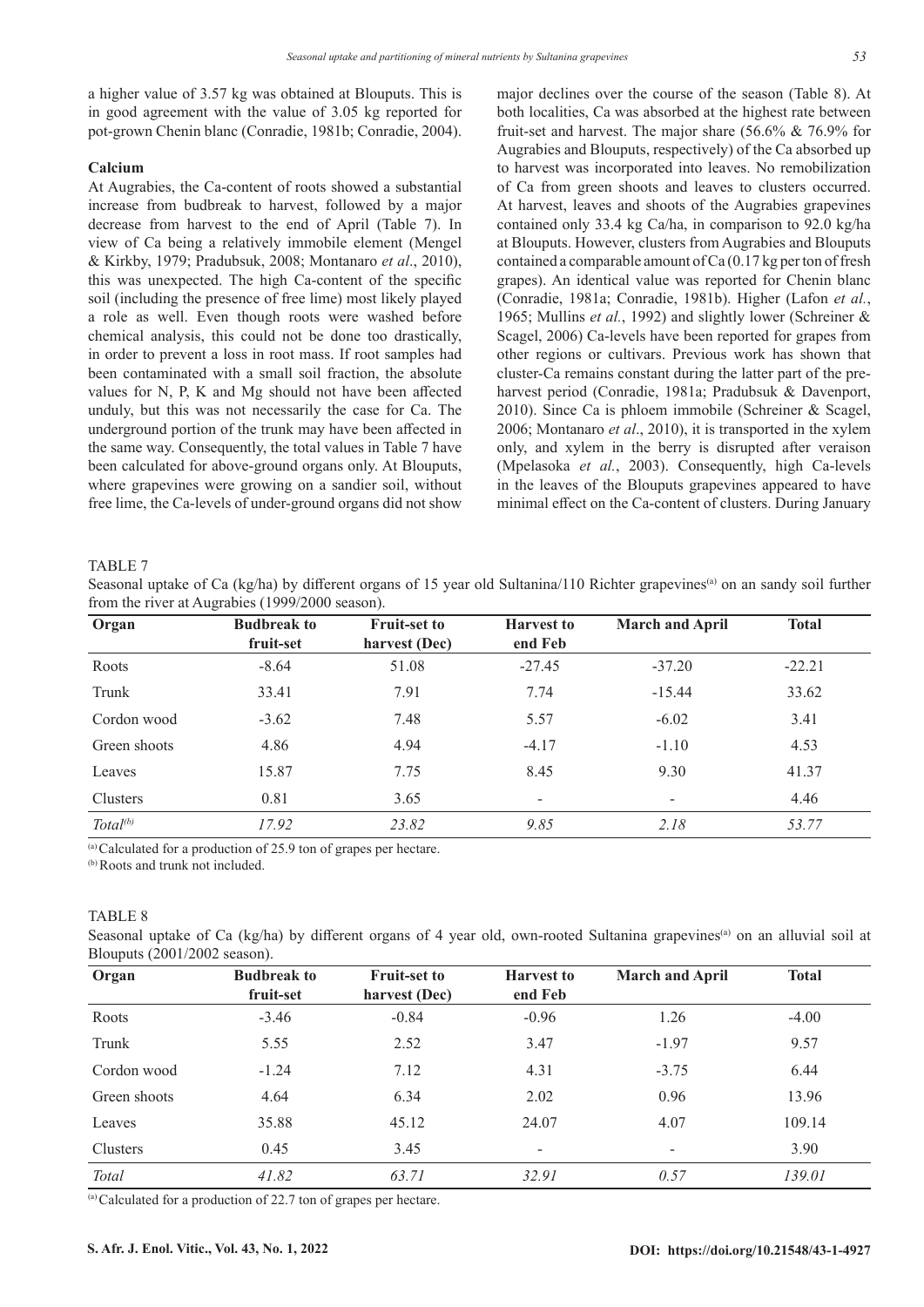a higher value of 3.57 kg was obtained at Blouputs. This is in good agreement with the value of 3.05 kg reported for pot-grown Chenin blanc (Conradie, 1981b; Conradie, 2004).

### **Calcium**

At Augrabies, the Ca-content of roots showed a substantial increase from budbreak to harvest, followed by a major decrease from harvest to the end of April (Table 7). In view of Ca being a relatively immobile element (Mengel & Kirkby, 1979; Pradubsuk, 2008; Montanaro *et al*., 2010), this was unexpected. The high Ca-content of the specific soil (including the presence of free lime) most likely played a role as well. Even though roots were washed before chemical analysis, this could not be done too drastically, in order to prevent a loss in root mass. If root samples had been contaminated with a small soil fraction, the absolute values for N, P, K and Mg should not have been affected unduly, but this was not necessarily the case for Ca. The underground portion of the trunk may have been affected in the same way. Consequently, the total values in Table 7 have been calculated for above-ground organs only. At Blouputs, where grapevines were growing on a sandier soil, without free lime, the Ca-levels of under-ground organs did not show

major declines over the course of the season (Table 8). At both localities, Ca was absorbed at the highest rate between fruit-set and harvest. The major share (56.6% & 76.9% for Augrabies and Blouputs, respectively) of the Ca absorbed up to harvest was incorporated into leaves. No remobilization of Ca from green shoots and leaves to clusters occurred. At harvest, leaves and shoots of the Augrabies grapevines contained only 33.4 kg Ca/ha, in comparison to 92.0 kg/ha at Blouputs. However, clusters from Augrabies and Blouputs contained a comparable amount of Ca (0.17 kg per ton of fresh grapes). An identical value was reported for Chenin blanc (Conradie, 1981a; Conradie, 1981b). Higher (Lafon *et al.*, 1965; Mullins *et al.*, 1992) and slightly lower (Schreiner & Scagel, 2006) Ca-levels have been reported for grapes from other regions or cultivars. Previous work has shown that cluster-Ca remains constant during the latter part of the preharvest period (Conradie, 1981a; Pradubsuk & Davenport, 2010). Since Ca is phloem immobile (Schreiner & Scagel, 2006; Montanaro *et al*., 2010), it is transported in the xylem only, and xylem in the berry is disrupted after veraison (Mpelasoka *et al.*, 2003). Consequently, high Ca-levels in the leaves of the Blouputs grapevines appeared to have minimal effect on the Ca-content of clusters. During January

#### TABLE 7

Seasonal uptake of Ca (kg/ha) by different organs of 15 year old Sultanina/110 Richter grapevines<sup>(a)</sup> on an sandy soil further from the river at Augrabies (1999/2000 season).

| Organ                | <b>Budbreak to</b><br>fruit-set | <b>Fruit-set to</b><br><b>Harvest to</b><br>harvest (Dec)<br>end Feb |          | <b>March and April</b> | <b>Total</b> |
|----------------------|---------------------------------|----------------------------------------------------------------------|----------|------------------------|--------------|
| Roots                | $-8.64$                         | 51.08                                                                | $-27.45$ | $-37.20$               | $-22.21$     |
| Trunk                | 33.41                           | 7.91                                                                 | 7.74     | $-15.44$               | 33.62        |
| Cordon wood          | $-3.62$                         | 7.48                                                                 | 5.57     | $-6.02$                | 3.41         |
| Green shoots         | 4.86                            | 4.94                                                                 | $-4.17$  | $-1.10$                | 4.53         |
| Leaves               | 15.87                           | 7.75                                                                 | 8.45     | 9.30                   | 41.37        |
| Clusters             | 0.81                            | 3.65                                                                 |          |                        | 4.46         |
| Total <sup>(b)</sup> | 17.92                           | 23.82                                                                | 9.85     | 2.18                   | 53.77        |

 $\alpha$  Calculated for a production of 25.9 ton of grapes per hectare.

(b) Roots and trunk not included.

## TABLE 8

Seasonal uptake of Ca (kg/ha) by different organs of 4 year old, own-rooted Sultanina grapevines<sup>(a)</sup> on an alluvial soil at Blouputs (2001/2002 season).

| Organ        | <b>Budbreak to</b><br>fruit-set | <b>Fruit-set to</b><br>harvest (Dec) | <b>Harvest to</b><br>end Feb |         | <b>Total</b> |
|--------------|---------------------------------|--------------------------------------|------------------------------|---------|--------------|
| Roots        | $-3.46$                         | $-0.84$                              | $-0.96$                      | 1.26    | $-4.00$      |
| Trunk        | 5.55                            | 2.52                                 | 3.47                         | $-1.97$ | 9.57         |
| Cordon wood  | $-1.24$                         | 7.12                                 | 4.31                         | $-3.75$ | 6.44         |
| Green shoots | 4.64                            | 6.34                                 | 2.02                         | 0.96    | 13.96        |
| Leaves       | 35.88                           | 45.12                                | 24.07                        | 4.07    | 109.14       |
| Clusters     | 0.45                            | 3.45                                 |                              |         | 3.90         |
| Total        | 41.82                           | 63.71                                | 32.91                        | 0.57    | 139.01       |

(a) Calculated for a production of 22.7 ton of grapes per hectare.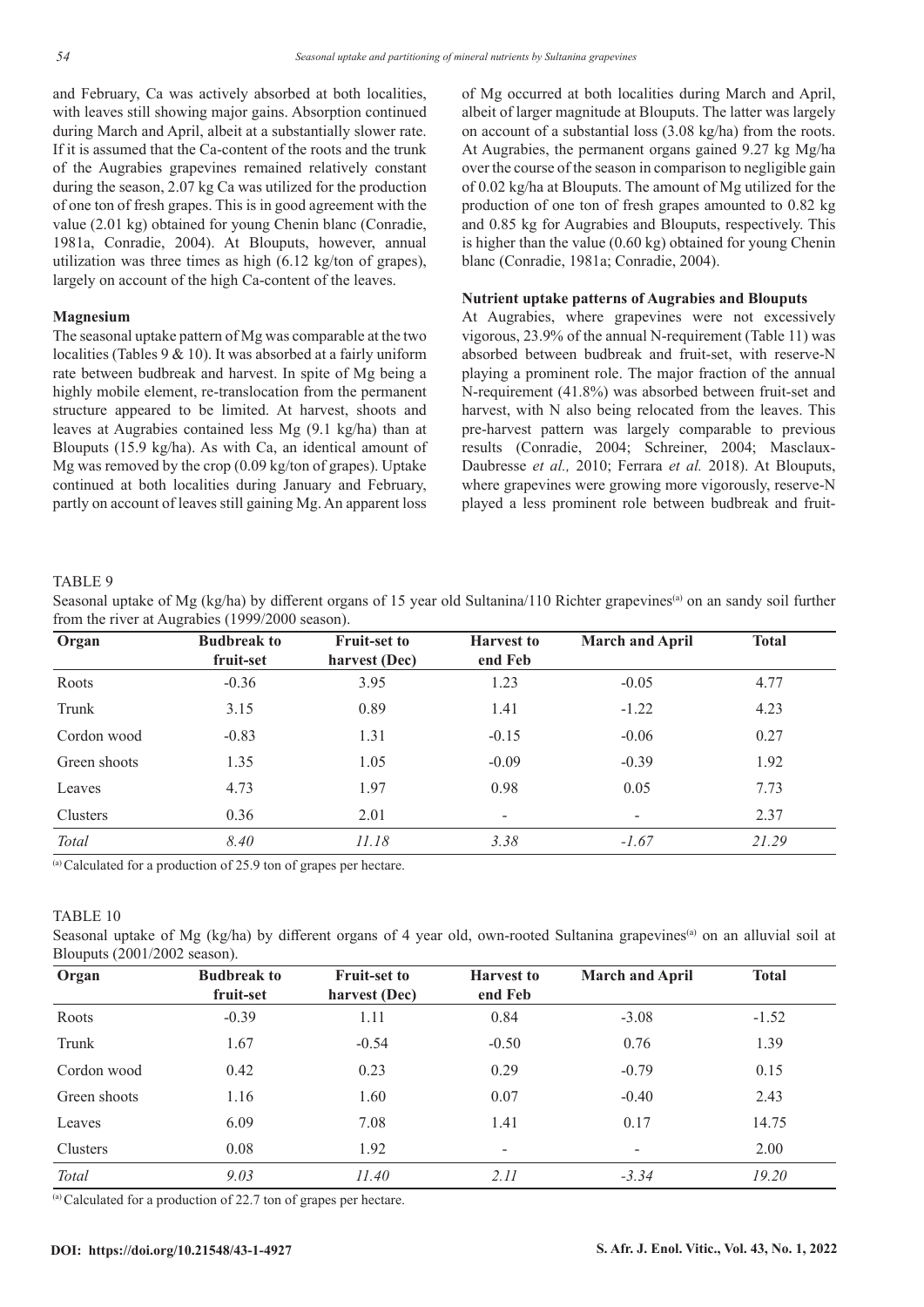and February, Ca was actively absorbed at both localities, with leaves still showing major gains. Absorption continued during March and April, albeit at a substantially slower rate. If it is assumed that the Ca-content of the roots and the trunk of the Augrabies grapevines remained relatively constant during the season, 2.07 kg Ca was utilized for the production of one ton of fresh grapes. This is in good agreement with the value (2.01 kg) obtained for young Chenin blanc (Conradie, 1981a, Conradie, 2004). At Blouputs, however, annual utilization was three times as high (6.12 kg/ton of grapes), largely on account of the high Ca-content of the leaves.

### **Magnesium**

The seasonal uptake pattern of Mg was comparable at the two localities (Tables 9 & 10). It was absorbed at a fairly uniform rate between budbreak and harvest. In spite of Mg being a highly mobile element, re-translocation from the permanent structure appeared to be limited. At harvest, shoots and leaves at Augrabies contained less Mg (9.1 kg/ha) than at Blouputs (15.9 kg/ha). As with Ca, an identical amount of Mg was removed by the crop (0.09 kg/ton of grapes). Uptake continued at both localities during January and February, partly on account of leaves still gaining Mg. An apparent loss

of Mg occurred at both localities during March and April, albeit of larger magnitude at Blouputs. The latter was largely on account of a substantial loss (3.08 kg/ha) from the roots. At Augrabies, the permanent organs gained 9.27 kg Mg/ha over the course of the season in comparison to negligible gain of 0.02 kg/ha at Blouputs. The amount of Mg utilized for the production of one ton of fresh grapes amounted to 0.82 kg and 0.85 kg for Augrabies and Blouputs, respectively. This is higher than the value (0.60 kg) obtained for young Chenin blanc (Conradie, 1981a; Conradie, 2004).

## **Nutrient uptake patterns of Augrabies and Blouputs**

At Augrabies, where grapevines were not excessively vigorous, 23.9% of the annual N-requirement (Table 11) was absorbed between budbreak and fruit-set, with reserve-N playing a prominent role. The major fraction of the annual N-requirement (41.8%) was absorbed between fruit-set and harvest, with N also being relocated from the leaves. This pre-harvest pattern was largely comparable to previous results (Conradie, 2004; Schreiner, 2004; Masclaux-Daubresse *et al.,* 2010; Ferrara *et al.* 2018). At Blouputs, where grapevines were growing more vigorously, reserve-N played a less prominent role between budbreak and fruit-

#### TABLE 9

Seasonal uptake of Mg (kg/ha) by different organs of 15 year old Sultanina/110 Richter grapevines<sup>(a)</sup> on an sandy soil further from the river at Augrabies (1999/2000 season).

| Organ        | <b>Budbreak to</b>                         | <b>Fruit-set to</b> | <b>Harvest to</b>        |         | <b>Total</b> |
|--------------|--------------------------------------------|---------------------|--------------------------|---------|--------------|
|              | fruit-set                                  | harvest (Dec)       | end Feb                  |         |              |
| Roots        | $-0.36$                                    | 3.95                | 1.23                     | $-0.05$ | 4.77         |
| Trunk        | 3.15                                       | 0.89                | 1.41                     | $-1.22$ | 4.23         |
| Cordon wood  | $-0.83$                                    | 1.31                | $-0.15$                  | $-0.06$ | 0.27         |
| Green shoots | 1.35                                       | 1.05                | $-0.09$                  | $-0.39$ | 1.92         |
| Leaves       | 4.73                                       | 1.97                | 0.98                     | 0.05    | 7.73         |
| Clusters     | 0.36                                       | 2.01                | $\overline{\phantom{a}}$ |         | 2.37         |
| Total        | 8.40                                       | 11.18               | 3.38                     | $-1.67$ | 21.29        |
|              | $\sim$ $\sim$ $\sim$<br>.<br>$\sim$ $\sim$ |                     |                          |         |              |

(a) Calculated for a production of 25.9 ton of grapes per hectare.

## TABLE 10

Seasonal uptake of Mg (kg/ha) by different organs of 4 year old, own-rooted Sultanina grapevines<sup>(a)</sup> on an alluvial soil at Blouputs (2001/2002 season).

| Organ        | <b>Budbreak to</b><br>fruit-set | <b>Fruit-set to</b><br>harvest (Dec) | <b>Harvest to</b><br>end Feb | <b>March and April</b> | <b>Total</b> |
|--------------|---------------------------------|--------------------------------------|------------------------------|------------------------|--------------|
| Roots        | $-0.39$                         | 1.11                                 | 0.84                         | $-3.08$                | $-1.52$      |
| Trunk        | 1.67                            | $-0.54$                              | $-0.50$                      | 0.76                   | 1.39         |
| Cordon wood  | 0.42                            | 0.23                                 | 0.29                         | $-0.79$                | 0.15         |
| Green shoots | 1.16                            | 1.60                                 | 0.07                         | $-0.40$                | 2.43         |
| Leaves       | 6.09                            | 7.08                                 | 1.41                         | 0.17                   | 14.75        |
| Clusters     | 0.08                            | 1.92                                 | $\overline{a}$               | ۰                      | 2.00         |
| Total        | 9.03                            | 11.40                                | 2.11                         | $-3.34$                | 19.20        |

(a) Calculated for a production of 22.7 ton of grapes per hectare.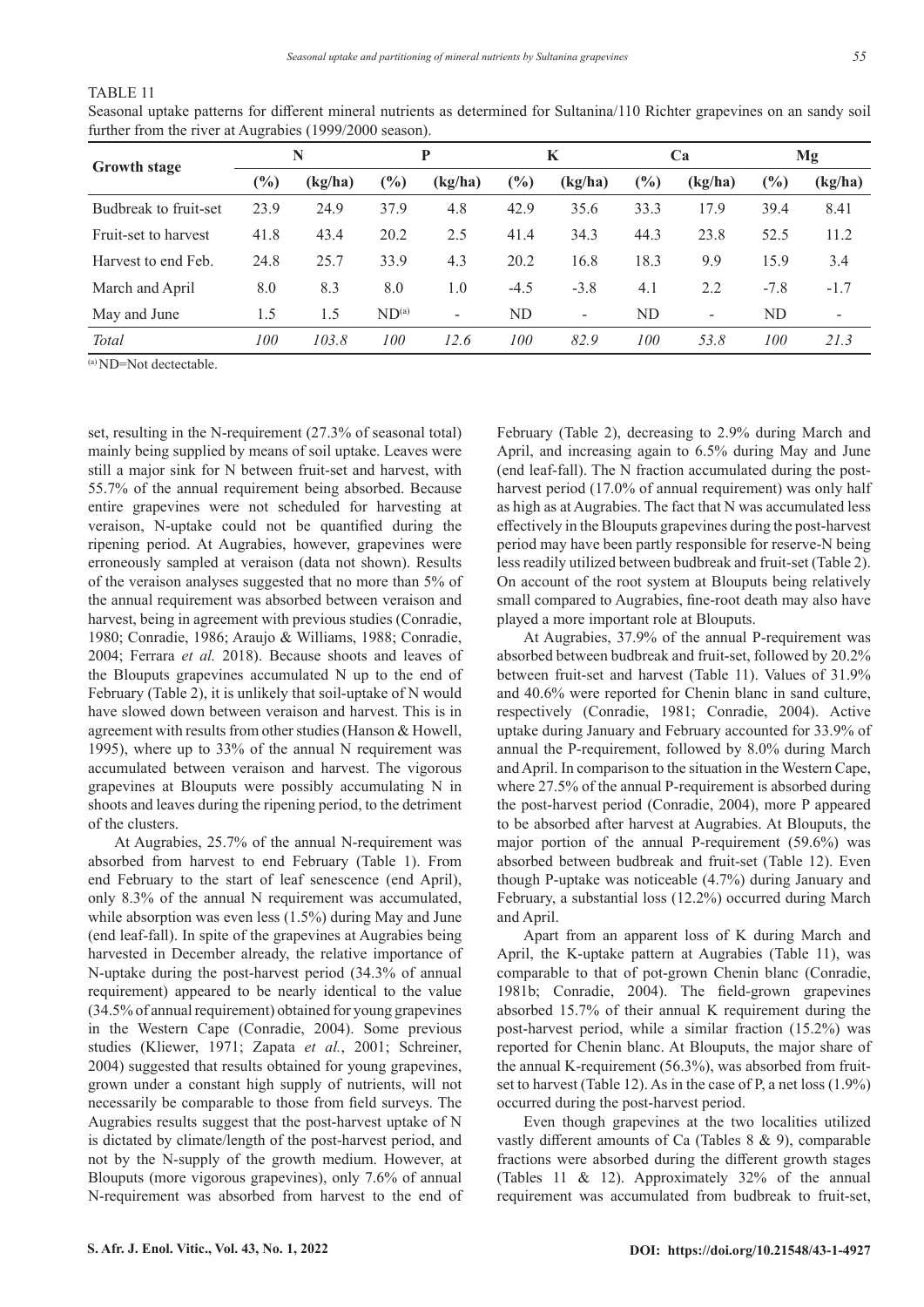## TABLE 11

Seasonal uptake patterns for different mineral nutrients as determined for Sultanina/110 Richter grapevines on an sandy soil further from the river at Augrabies (1999/2000 season).

| <b>Growth stage</b>   |        | N       |                   | P                        |                              | K                        |           | Ca      |        | Mg                       |
|-----------------------|--------|---------|-------------------|--------------------------|------------------------------|--------------------------|-----------|---------|--------|--------------------------|
|                       | $(\%)$ | (kg/ha) | $(\%)$            | (kg/ha)                  | $\left( \frac{0}{0} \right)$ | (kg/ha)                  | (%)       | (kg/ha) | $(\%)$ | (kg/ha)                  |
| Budbreak to fruit-set | 23.9   | 24.9    | 37.9              | 4.8                      | 42.9                         | 35.6                     | 33.3      | 17.9    | 39.4   | 8.41                     |
| Fruit-set to harvest  | 41.8   | 43.4    | 20.2              | 2.5                      | 41.4                         | 34.3                     | 44.3      | 23.8    | 52.5   | 11.2                     |
| Harvest to end Feb.   | 24.8   | 25.7    | 33.9              | 4.3                      | 20.2                         | 16.8                     | 18.3      | 9.9     | 15.9   | 3.4                      |
| March and April       | 8.0    | 8.3     | 8.0               | 1.0                      | $-4.5$                       | $-3.8$                   | 4.1       | 2.2     | $-7.8$ | $-1.7$                   |
| May and June          | 1.5    | 1.5     | ND <sup>(a)</sup> | $\overline{\phantom{a}}$ | ND                           | $\overline{\phantom{a}}$ | <b>ND</b> | -       | ND     | $\overline{\phantom{a}}$ |
| Total                 | 100    | 103.8   | 100               | 12.6                     | 100                          | 82.9                     | 100       | 53.8    | 100    | 21.3                     |

(a) ND=Not dectectable.

set, resulting in the N-requirement (27.3% of seasonal total) mainly being supplied by means of soil uptake. Leaves were still a major sink for N between fruit-set and harvest, with 55.7% of the annual requirement being absorbed. Because entire grapevines were not scheduled for harvesting at veraison, N-uptake could not be quantified during the ripening period. At Augrabies, however, grapevines were erroneously sampled at veraison (data not shown). Results of the veraison analyses suggested that no more than 5% of the annual requirement was absorbed between veraison and harvest, being in agreement with previous studies (Conradie, 1980; Conradie, 1986; Araujo & Williams, 1988; Conradie, 2004; Ferrara *et al.* 2018). Because shoots and leaves of the Blouputs grapevines accumulated N up to the end of February (Table 2), it is unlikely that soil-uptake of N would have slowed down between veraison and harvest. This is in agreement with results from other studies (Hanson & Howell, 1995), where up to 33% of the annual N requirement was accumulated between veraison and harvest. The vigorous grapevines at Blouputs were possibly accumulating N in shoots and leaves during the ripening period, to the detriment of the clusters.

At Augrabies, 25.7% of the annual N-requirement was absorbed from harvest to end February (Table 1). From end February to the start of leaf senescence (end April), only 8.3% of the annual N requirement was accumulated, while absorption was even less (1.5%) during May and June (end leaf-fall). In spite of the grapevines at Augrabies being harvested in December already, the relative importance of N-uptake during the post-harvest period (34.3% of annual requirement) appeared to be nearly identical to the value (34.5% of annual requirement) obtained for young grapevines in the Western Cape (Conradie, 2004). Some previous studies (Kliewer, 1971; Zapata *et al.*, 2001; Schreiner, 2004) suggested that results obtained for young grapevines, grown under a constant high supply of nutrients, will not necessarily be comparable to those from field surveys. The Augrabies results suggest that the post-harvest uptake of N is dictated by climate/length of the post-harvest period, and not by the N-supply of the growth medium. However, at Blouputs (more vigorous grapevines), only 7.6% of annual N-requirement was absorbed from harvest to the end of February (Table 2), decreasing to 2.9% during March and April, and increasing again to 6.5% during May and June (end leaf-fall). The N fraction accumulated during the postharvest period (17.0% of annual requirement) was only half as high as at Augrabies. The fact that N was accumulated less effectively in the Blouputs grapevines during the post-harvest period may have been partly responsible for reserve-N being less readily utilized between budbreak and fruit-set (Table 2). On account of the root system at Blouputs being relatively small compared to Augrabies, fine-root death may also have played a more important role at Blouputs.

At Augrabies, 37.9% of the annual P-requirement was absorbed between budbreak and fruit-set, followed by 20.2% between fruit-set and harvest (Table 11). Values of 31.9% and 40.6% were reported for Chenin blanc in sand culture, respectively (Conradie, 1981; Conradie, 2004). Active uptake during January and February accounted for 33.9% of annual the P-requirement, followed by 8.0% during March and April. In comparison to the situation in the Western Cape, where 27.5% of the annual P-requirement is absorbed during the post-harvest period (Conradie, 2004), more P appeared to be absorbed after harvest at Augrabies. At Blouputs, the major portion of the annual P-requirement (59.6%) was absorbed between budbreak and fruit-set (Table 12). Even though P-uptake was noticeable (4.7%) during January and February, a substantial loss (12.2%) occurred during March and April.

Apart from an apparent loss of K during March and April, the K-uptake pattern at Augrabies (Table 11), was comparable to that of pot-grown Chenin blanc (Conradie, 1981b; Conradie, 2004). The field-grown grapevines absorbed 15.7% of their annual K requirement during the post-harvest period, while a similar fraction (15.2%) was reported for Chenin blanc. At Blouputs, the major share of the annual K-requirement (56.3%), was absorbed from fruitset to harvest (Table 12). As in the case of P, a net loss (1.9%) occurred during the post-harvest period.

Even though grapevines at the two localities utilized vastly different amounts of Ca (Tables 8 & 9), comparable fractions were absorbed during the different growth stages (Tables 11 & 12). Approximately 32% of the annual requirement was accumulated from budbreak to fruit-set,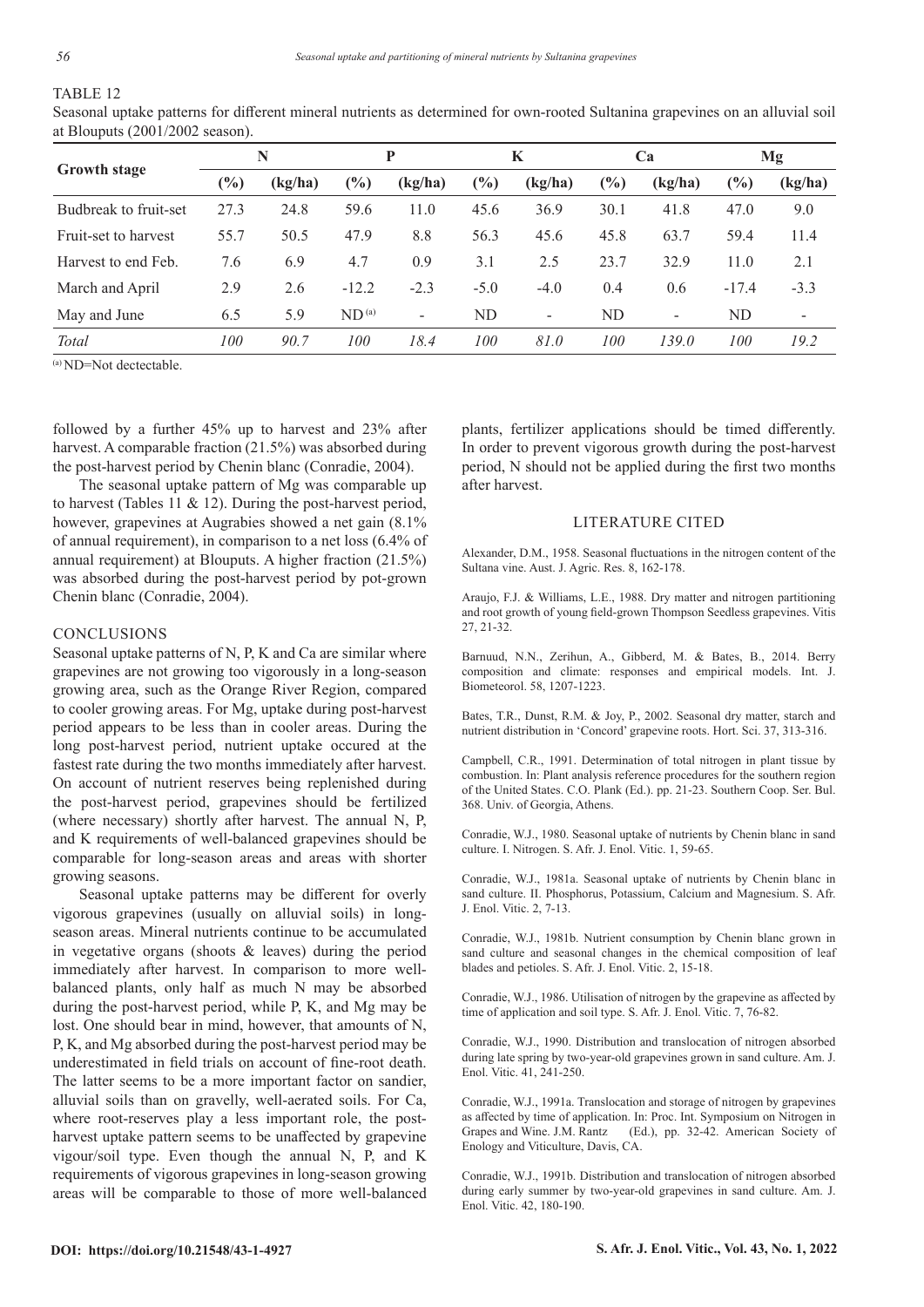## TABLE 12

Seasonal uptake patterns for different mineral nutrients as determined for own-rooted Sultanina grapevines on an alluvial soil at Blouputs (2001/2002 season).

|                       | N    |         |                   | P                        |        | K                        |        | Ca                       |                              | Mg                       |  |
|-----------------------|------|---------|-------------------|--------------------------|--------|--------------------------|--------|--------------------------|------------------------------|--------------------------|--|
| <b>Growth stage</b>   | (%)  | (kg/ha) | $\frac{10}{6}$    | (kg/ha)                  | (%)    | (kg/ha)                  | $(\%)$ | (kg/ha)                  | $\left( \frac{0}{0} \right)$ | (kg/ha)                  |  |
| Budbreak to fruit-set | 27.3 | 24.8    | 59.6              | 11.0                     | 45.6   | 36.9                     | 30.1   | 41.8                     | 47.0                         | 9.0                      |  |
| Fruit-set to harvest  | 55.7 | 50.5    | 47.9              | 8.8                      | 56.3   | 45.6                     | 45.8   | 63.7                     | 59.4                         | 11.4                     |  |
| Harvest to end Feb.   | 7.6  | 6.9     | 4.7               | 0.9                      | 3.1    | 2.5                      | 23.7   | 32.9                     | 11.0                         | 2.1                      |  |
| March and April       | 2.9  | 2.6     | $-12.2$           | $-2.3$                   | $-5.0$ | $-4.0$                   | 0.4    | 0.6                      | $-17.4$                      | $-3.3$                   |  |
| May and June          | 6.5  | 5.9     | ND <sup>(a)</sup> | $\overline{\phantom{a}}$ | ND     | $\overline{\phantom{0}}$ | ND     | $\overline{\phantom{a}}$ | ND                           | $\overline{\phantom{a}}$ |  |
| Total                 | 100  | 90.7    | 100               | 18.4                     | 100    | 81.0                     | 100    | 139.0                    | 100                          | 19.2                     |  |

(a) ND=Not dectectable.

followed by a further 45% up to harvest and 23% after harvest. A comparable fraction (21.5%) was absorbed during the post-harvest period by Chenin blanc (Conradie, 2004).

The seasonal uptake pattern of Mg was comparable up to harvest (Tables 11 & 12). During the post-harvest period, however, grapevines at Augrabies showed a net gain  $(8.1\%$ of annual requirement), in comparison to a net loss (6.4% of annual requirement) at Blouputs. A higher fraction (21.5%) was absorbed during the post-harvest period by pot-grown Chenin blanc (Conradie, 2004).

## **CONCLUSIONS**

Seasonal uptake patterns of N, P, K and Ca are similar where grapevines are not growing too vigorously in a long-season growing area, such as the Orange River Region, compared to cooler growing areas. For Mg, uptake during post-harvest period appears to be less than in cooler areas. During the long post-harvest period, nutrient uptake occured at the fastest rate during the two months immediately after harvest. On account of nutrient reserves being replenished during the post-harvest period, grapevines should be fertilized (where necessary) shortly after harvest. The annual N, P, and K requirements of well-balanced grapevines should be comparable for long-season areas and areas with shorter growing seasons.

Seasonal uptake patterns may be different for overly vigorous grapevines (usually on alluvial soils) in longseason areas. Mineral nutrients continue to be accumulated in vegetative organs (shoots & leaves) during the period immediately after harvest. In comparison to more wellbalanced plants, only half as much N may be absorbed during the post-harvest period, while P, K, and Mg may be lost. One should bear in mind, however, that amounts of N, P, K, and Mg absorbed during the post-harvest period may be underestimated in field trials on account of fine-root death. The latter seems to be a more important factor on sandier, alluvial soils than on gravelly, well-aerated soils. For Ca, where root-reserves play a less important role, the postharvest uptake pattern seems to be unaffected by grapevine vigour/soil type. Even though the annual N, P, and K requirements of vigorous grapevines in long-season growing areas will be comparable to those of more well-balanced plants, fertilizer applications should be timed differently. In order to prevent vigorous growth during the post-harvest period, N should not be applied during the first two months after harvest.

#### LITERATURE CITED

Alexander, D.M., 1958. Seasonal fluctuations in the nitrogen content of the Sultana vine. Aust. J. Agric. Res. 8, 162-178.

Araujo, F.J. & Williams, L.E., 1988. Dry matter and nitrogen partitioning and root growth of young field-grown Thompson Seedless grapevines. Vitis 27, 21-32.

Barnuud, N.N., Zerihun, A., Gibberd, M. & Bates, B., 2014. Berry composition and climate: responses and empirical models. Int. J. Biometeorol. 58, 1207-1223.

Bates, T.R., Dunst, R.M. & Joy, P., 2002. Seasonal dry matter, starch and nutrient distribution in 'Concord' grapevine roots. Hort. Sci. 37, 313-316.

Campbell, C.R., 1991. Determination of total nitrogen in plant tissue by combustion. In: Plant analysis reference procedures for the southern region of the United States. C.O. Plank (Ed.). pp. 21-23. Southern Coop. Ser. Bul. 368. Univ. of Georgia, Athens.

Conradie, W.J., 1980. Seasonal uptake of nutrients by Chenin blanc in sand culture. I. Nitrogen. S. Afr. J. Enol. Vitic. 1, 59-65.

Conradie, W.J., 1981a. Seasonal uptake of nutrients by Chenin blanc in sand culture. II. Phosphorus, Potassium, Calcium and Magnesium. S. Afr. J. Enol. Vitic. 2, 7-13.

Conradie, W.J., 1981b. Nutrient consumption by Chenin blanc grown in sand culture and seasonal changes in the chemical composition of leaf blades and petioles. S. Afr. J. Enol. Vitic. 2, 15-18.

Conradie, W.J., 1986. Utilisation of nitrogen by the grapevine as affected by time of application and soil type. S. Afr. J. Enol. Vitic. 7, 76-82.

Conradie, W.J., 1990. Distribution and translocation of nitrogen absorbed during late spring by two-year-old grapevines grown in sand culture. Am. J. Enol. Vitic. 41, 241-250.

Conradie, W.J., 1991a. Translocation and storage of nitrogen by grapevines as affected by time of application. In: Proc. Int. Symposium on Nitrogen in Grapes and Wine. J.M. Rantz (Ed.), pp. 32-42. American Society of Enology and Viticulture, Davis, CA.

Conradie, W.J., 1991b. Distribution and translocation of nitrogen absorbed during early summer by two-year-old grapevines in sand culture. Am. J. Enol. Vitic. 42, 180-190.